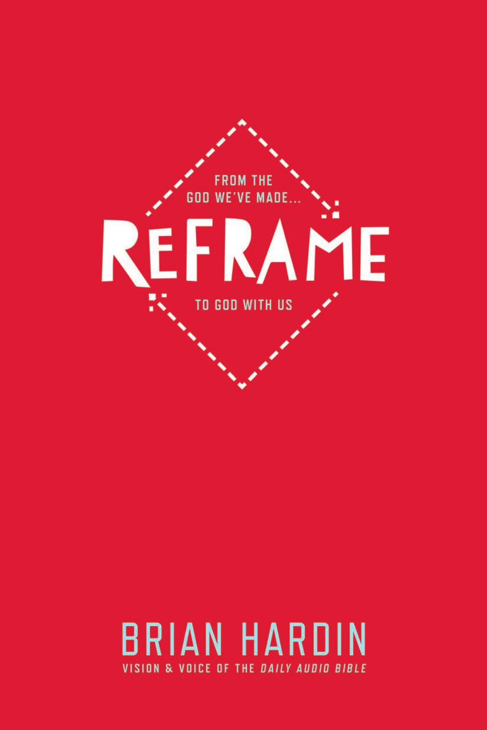

## **BRIAN HARDIN** VISION & VOICE OF THE DAILY AUDIO BIBLE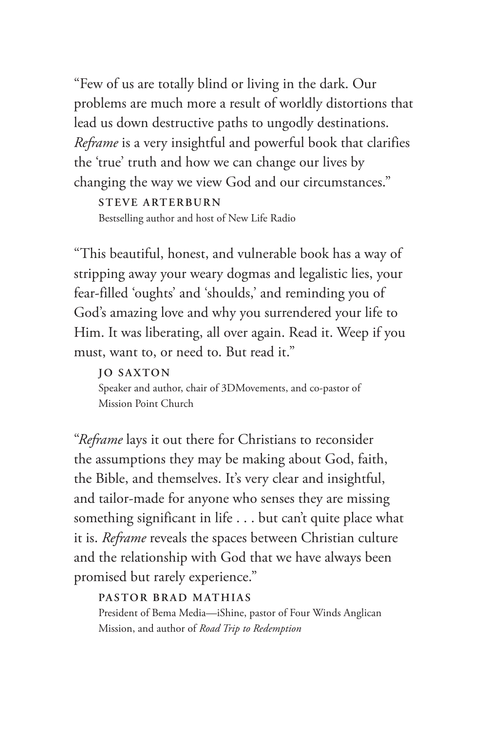"Few of us are totally blind or living in the dark. Our problems are much more a result of worldly distortions that lead us down destructive paths to ungodly destinations. *Reframe* is a very insightful and powerful book that clarifies the 'true' truth and how we can change our lives by changing the way we view God and our circumstances."

**STEVE ARTERBURN** Bestselling author and host of New Life Radio

"This beautiful, honest, and vulnerable book has a way of stripping away your weary dogmas and legalistic lies, your fear-filled 'oughts' and 'shoulds,' and reminding you of God's amazing love and why you surrendered your life to Him. It was liberating, all over again. Read it. Weep if you must, want to, or need to. But read it."

### **JO SAXTON**

Speaker and author, chair of 3DMovements, and co-pastor of Mission Point Church

"*Reframe* lays it out there for Christians to reconsider the assumptions they may be making about God, faith, the Bible, and themselves. It's very clear and insightful, and tailor-made for anyone who senses they are missing something significant in life . . . but can't quite place what it is. *Reframe* reveals the spaces between Christian culture and the relationship with God that we have always been promised but rarely experience."

### **PASTOR BRAD MATHIAS**

President of Bema Media—iShine, pastor of Four Winds Anglican Mission, and author of *Road Trip to Redemption*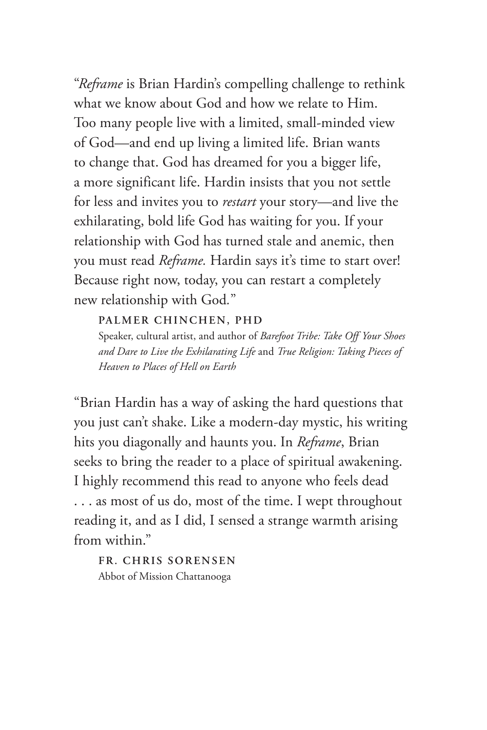"*Reframe* is Brian Hardin's compelling challenge to rethink what we know about God and how we relate to Him. Too many people live with a limited, small-minded view of God—and end up living a limited life. Brian wants to change that. God has dreamed for you a bigger life, a more significant life. Hardin insists that you not settle for less and invites you to *restart* your story—and live the exhilarating, bold life God has waiting for you. If your relationship with God has turned stale and anemic, then you must read *Reframe.* Hardin says it's time to start over! Because right now, today, you can restart a completely new relationship with God*.*"

### **PALMER CHINCHEN, PHD**

Speaker, cultural artist, and author of *Barefoot Tribe: Take Off Your Shoes and Dare to Live the Exhilarating Life* and *True Religion: Taking Pieces of Heaven to Places of Hell on Earth*

"Brian Hardin has a way of asking the hard questions that you just can't shake. Like a modern-day mystic, his writing hits you diagonally and haunts you. In *Reframe*, Brian seeks to bring the reader to a place of spiritual awakening. I highly recommend this read to anyone who feels dead . . . as most of us do, most of the time. I wept throughout reading it, and as I did, I sensed a strange warmth arising from within."

**FR. CHRIS SORENSEN** Abbot of Mission Chattanooga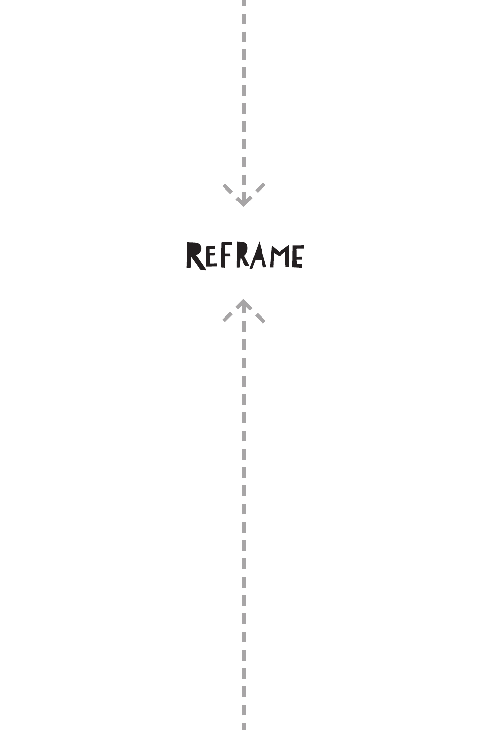

ш j Ī I I I

## REFRAME



I

I I I I.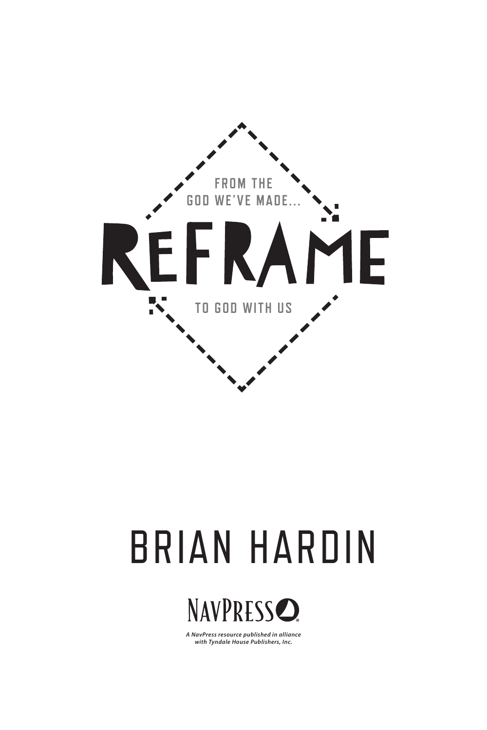



*A NavPress resource published in alliance with Tyndale House Publishers, Inc.*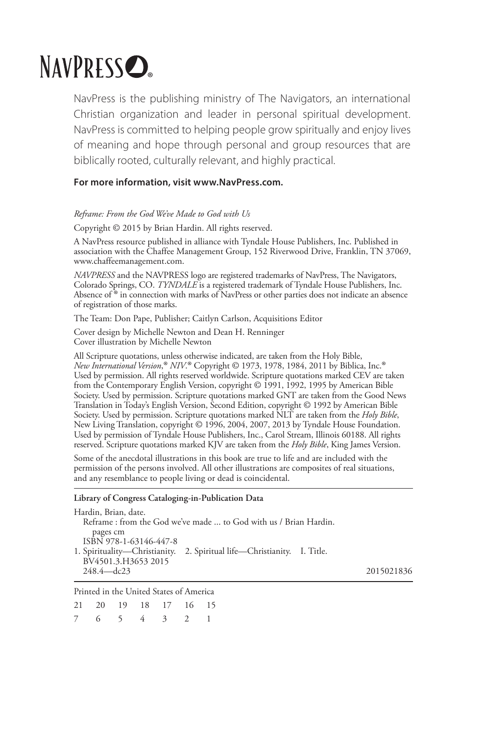## NAVPRESS<sub>O</sub>

NavPress is the publishing ministry of The Navigators, an international Christian organization and leader in personal spiritual development. NavPress is committed to helping people grow spiritually and enjoy lives of meaning and hope through personal and group resources that are biblically rooted, culturally relevant, and highly practical.

#### **For more information, visit www.NavPress.com.**

#### *Reframe: From the God We've Made to God with Us*

Copyright © 2015 by Brian Hardin. All rights reserved.

A NavPress resource published in alliance with Tyndale House Publishers, Inc. Published in association with the Chaffee Management Group, 152 Riverwood Drive, Franklin, TN 37069, www.chaffeemanagement.com.

*NAVPRESS* and the NAVPRESS logo are registered trademarks of NavPress, The Navigators, Colorado Springs, CO. *TYNDALE* is a registered trademark of Tyndale House Publishers, Inc. Absence of ® in connection with marks of NavPress or other parties does not indicate an absence of registration of those marks.

The Team: Don Pape, Publisher; Caitlyn Carlson, Acquisitions Editor

Cover design by Michelle Newton and Dean H. Renninger Cover illustration by Michelle Newton

All Scripture quotations, unless otherwise indicated, are taken from the Holy Bible, *New International Version*, ® *NIV*. *New International Version,® NIV*.® Copyright © 1973, 1978, 1984, 2011 by Biblica, Inc.®<br>Used by permission. All rights reserved worldwide. Scripture quotations marked CEV are taken from the Contemporary English Version, copyright © 1991, 1992, 1995 by American Bible Society. Used by permission. Scripture quotations marked GNT are taken from the Good News Translation in Today's English Version, Second Edition, copyright © 1992 by American Bible Society. Used by permission. Scripture quotations marked NLT are taken from the *Holy Bible*, New Living Translation, copyright © 1996, 2004, 2007, 2013 by Tyndale House Foundation. Used by permission of Tyndale House Publishers, Inc., Carol Stream, Illinois 60188. All rights reserved. Scripture quotations marked KJV are taken from the *Holy Bible*, King James Version.

Some of the anecdotal illustrations in this book are true to life and are included with the permission of the persons involved. All other illustrations are composites of real situations, and any resemblance to people living or dead is coincidental.

#### **Library of Congress Cataloging-in-Publication Data**

| Hardin, Brian, date.                                      |                                                                         |            |
|-----------------------------------------------------------|-------------------------------------------------------------------------|------------|
|                                                           | Reframe: from the God we've made  to God with us / Brian Hardin.        |            |
| pages cm<br>ISBN 978-1-63146-447-8<br>BV4501.3.H3653 2015 | 1. Spirituality—Christianity. 2. Spiritual life—Christianity. I. Title. |            |
| $248.4 - dc23$                                            |                                                                         | 2015021836 |
|                                                           |                                                                         |            |

Printed in the United States of America

|  |  | 21 20 19 18 17 16 15 |  |
|--|--|----------------------|--|
|  |  | 7 6 5 4 3 2 1        |  |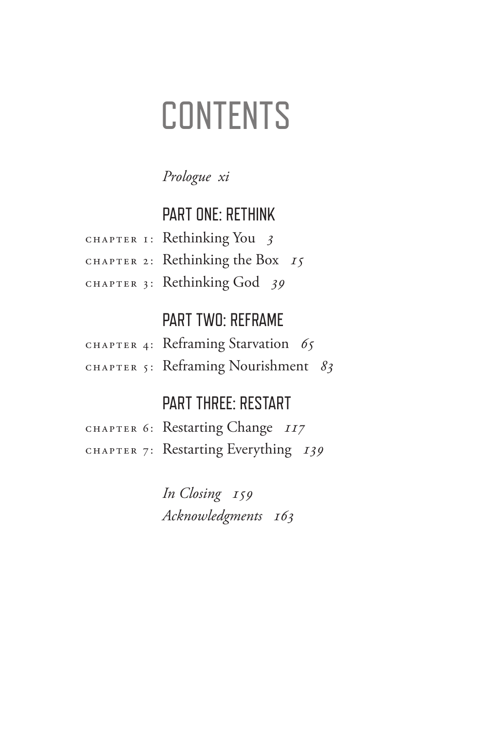## **CONTENTS**

### *[Prologue xi](#page-10-0)*

## [PART ONE: RETHINK](#page-14-0)

| CHAPTER I: Rethinking You $\frac{3}{5}$ |
|-----------------------------------------|
| CHAPTER 2: Rethinking the Box 15        |
| CHAPTER 3: Rethinking God 39            |

## PART TWO: REFRAME

| CHAPTER 4: Reframing Starvation 65  |  |
|-------------------------------------|--|
| CHAPTER 5: Reframing Nourishment 83 |  |

## PART THREE: RESTART

| CHAPTER 6: Restarting Change II7     |
|--------------------------------------|
| CHAPTER 7: Restarting Everything 139 |

 *In Closing 159 Acknowledgments 163*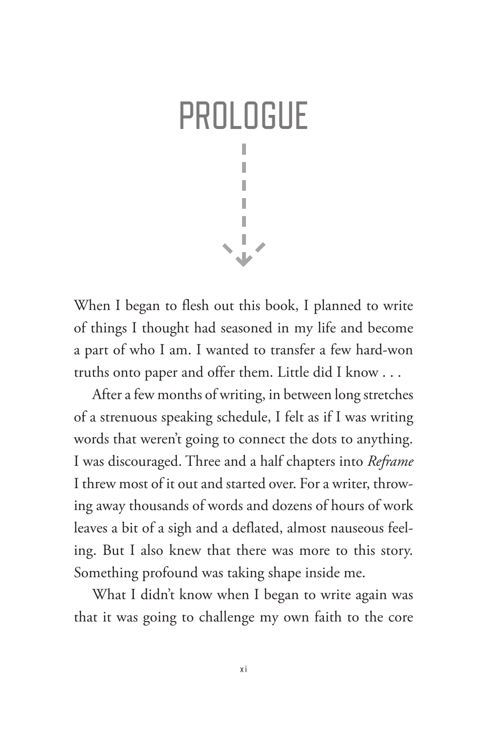<span id="page-10-0"></span>

When I began to flesh out this book, I planned to write of things I thought had seasoned in my life and become a part of who I am. I wanted to transfer a few hard-won truths onto paper and offer them. Little did I know . . .

After a few months of writing, in between long stretches of a strenuous speaking schedule, I felt as if I was writing words that weren't going to connect the dots to anything. I was discouraged. Three and a half chapters into *Reframe* I threw most of it out and started over. For a writer, throwing away thousands of words and dozens of hours of work leaves a bit of a sigh and a deflated, almost nauseous feeling. But I also knew that there was more to this story. Something profound was taking shape inside me.

What I didn't know when I began to write again was that it was going to challenge my own faith to the core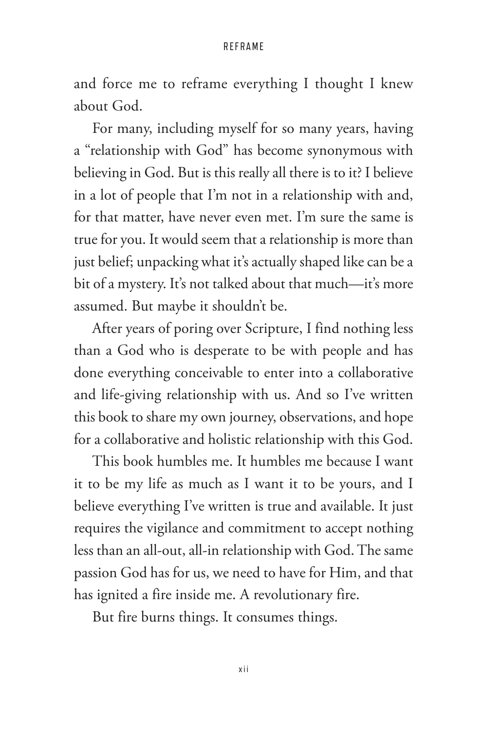and force me to reframe everything I thought I knew about God.

For many, including myself for so many years, having a "relationship with God" has become synonymous with believing in God. But is this really all there is to it? I believe in a lot of people that I'm not in a relationship with and, for that matter, have never even met. I'm sure the same is true for you. It would seem that a relationship is more than just belief; unpacking what it's actually shaped like can be a bit of a mystery. It's not talked about that much—it's more assumed. But maybe it shouldn't be.

After years of poring over Scripture, I find nothing less than a God who is desperate to be with people and has done everything conceivable to enter into a collaborative and life-giving relationship with us. And so I've written this book to share my own journey, observations, and hope for a collaborative and holistic relationship with this God.

This book humbles me. It humbles me because I want it to be my life as much as I want it to be yours, and I believe everything I've written is true and available. It just requires the vigilance and commitment to accept nothing less than an all-out, all-in relationship with God. The same passion God has for us, we need to have for Him, and that has ignited a fire inside me. A revolutionary fire.

But fire burns things. It consumes things.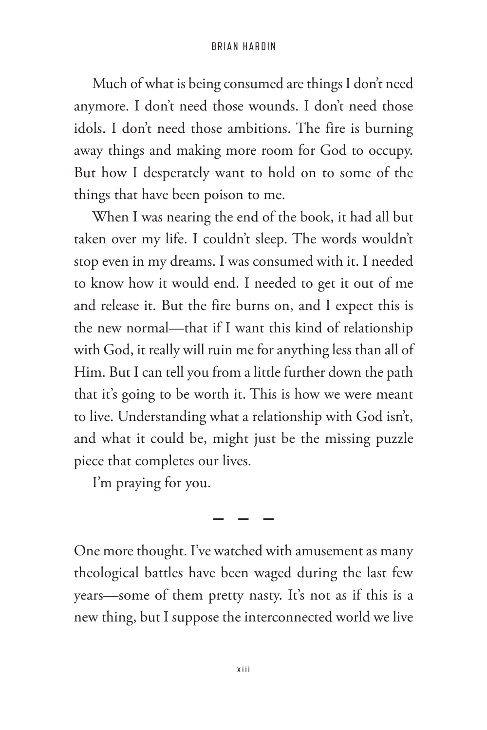Much of what is being consumed are things I don't need anymore. I don't need those wounds. I don't need those idols. I don't need those ambitions. The fire is burning away things and making more room for God to occupy. But how I desperately want to hold on to some of the things that have been poison to me.

When I was nearing the end of the book, it had all but taken over my life. I couldn't sleep. The words wouldn't stop even in my dreams. I was consumed with it. I needed to know how it would end. I needed to get it out of me and release it. But the fire burns on, and I expect this is the new normal—that if I want this kind of relationship with God, it really will ruin me for anything less than all of Him. But I can tell you from a little further down the path that it's going to be worth it. This is how we were meant to live. Understanding what a relationship with God isn't, and what it could be, might just be the missing puzzle piece that completes our lives.

I'm praying for you.

One more thought. I've watched with amusement as many theological battles have been waged during the last few years—some of them pretty nasty. It's not as if this is a new thing, but I suppose the interconnected world we live

**———**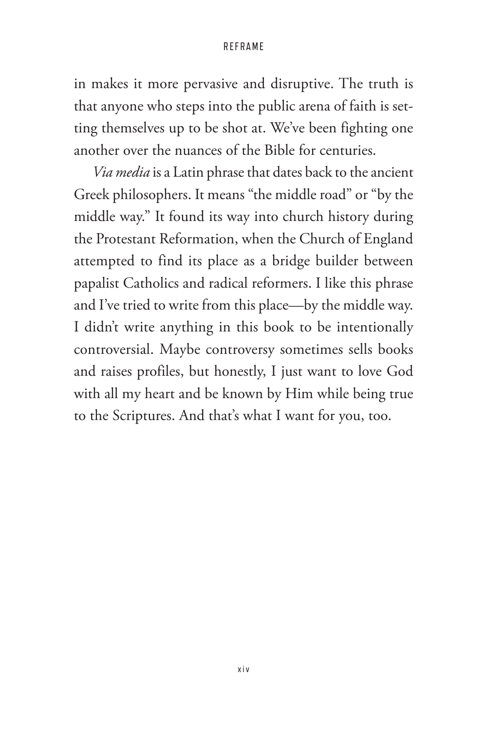in makes it more pervasive and disruptive. The truth is that anyone who steps into the public arena of faith is setting themselves up to be shot at. We've been fighting one another over the nuances of the Bible for centuries.

*Via media* is a Latin phrase that dates back to the ancient Greek philosophers. It means "the middle road" or "by the middle way." It found its way into church history during the Protestant Reformation, when the Church of England attempted to find its place as a bridge builder between papalist Catholics and radical reformers. I like this phrase and I've tried to write from this place—by the middle way. I didn't write anything in this book to be intentionally controversial. Maybe controversy sometimes sells books and raises profiles, but honestly, I just want to love God with all my heart and be known by Him while being true to the Scriptures. And that's what I want for you, too.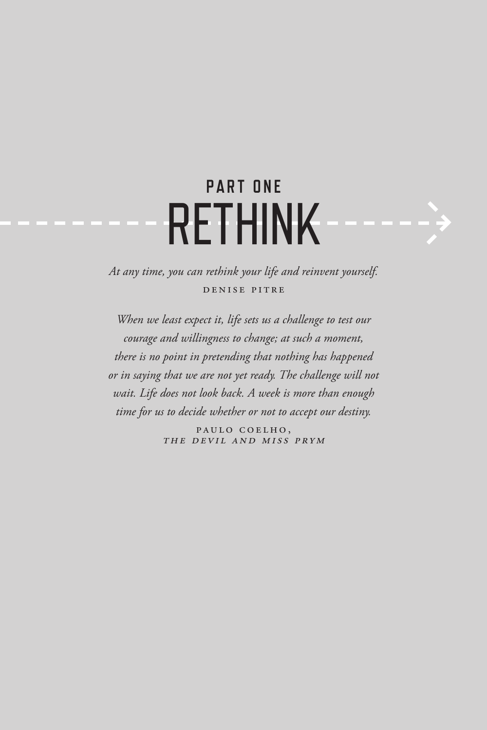## <span id="page-14-0"></span>**PART ONE** RETHINK

*At any time, you can rethink your life and reinvent yourself.* Denise Pitre

*When we least expect it, life sets us a challenge to test our courage and willingness to change; at such a moment, there is no point in pretending that nothing has happened or in saying that we are not yet ready. The challenge will not wait. Life does not look back. A week is more than enough time for us to decide whether or not to accept our destiny.*

> PAULO COELHO. The Devil and Miss Prym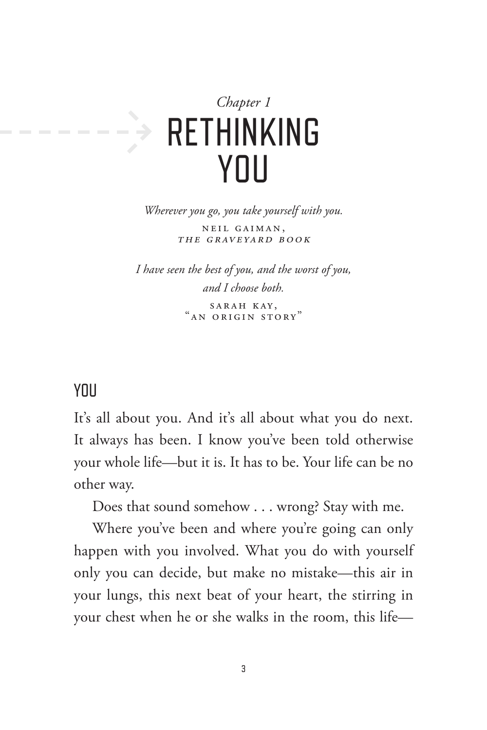<span id="page-16-0"></span>

*Wherever you go, you take yourself with you.* Neil Gaiman, The Graveyard Book

*I have seen the best of you, and the worst of you, and I choose both.* SARAH KAY, "An Origin Story"

### YOU

It's all about you. And it's all about what you do next. It always has been. I know you've been told otherwise your whole life—but it is. It has to be. Your life can be no other way.

Does that sound somehow . . . wrong? Stay with me.

Where you've been and where you're going can only happen with you involved. What you do with yourself only you can decide, but make no mistake—this air in your lungs, this next beat of your heart, the stirring in your chest when he or she walks in the room, this life—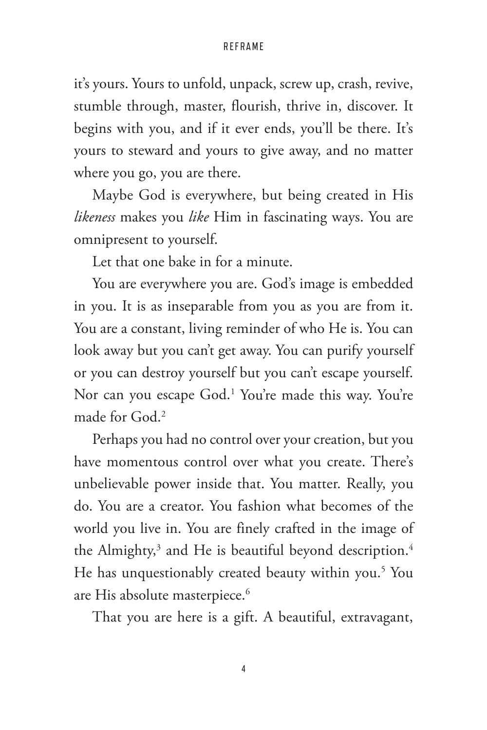it's yours. Yours to unfold, unpack, screw up, crash, revive, stumble through, master, flourish, thrive in, discover. It begins with you, and if it ever ends, you'll be there. It's yours to steward and yours to give away, and no matter where you go, you are there.

Maybe God is everywhere, but being created in His *likeness* makes you *like* Him in fascinating ways. You are omnipresent to yourself.

Let that one bake in for a minute.

You are everywhere you are. God's image is embedded in you. It is as inseparable from you as you are from it. You are a constant, living reminder of who He is. You can look away but you can't get away. You can purify yourself or you can destroy yourself but you can't escape yourself. Nor can you escape God.1 You're made this way. You're made for God.2

Perhaps you had no control over your creation, but you have momentous control over what you create. There's unbelievable power inside that. You matter. Really, you do. You are a creator. You fashion what becomes of the world you live in. You are finely crafted in the image of the Almighty, $^3$  and He is beautiful beyond description. $^4$ He has unquestionably created beauty within you.<sup>5</sup> You are His absolute masterpiece.<sup>6</sup>

That you are here is a gift. A beautiful, extravagant,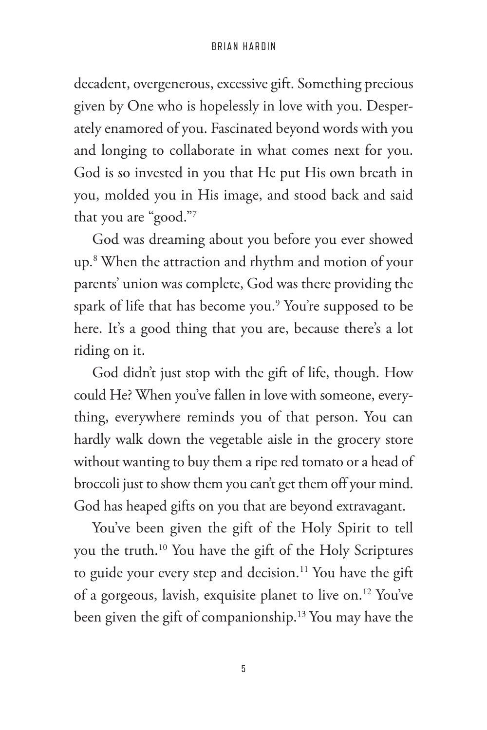decadent, overgenerous, excessive gift. Something precious given by One who is hopelessly in love with you. Desperately enamored of you. Fascinated beyond words with you and longing to collaborate in what comes next for you. God is so invested in you that He put His own breath in you, molded you in His image, and stood back and said that you are "good."7

God was dreaming about you before you ever showed up.8 When the attraction and rhythm and motion of your parents' union was complete, God was there providing the spark of life that has become you.9 You're supposed to be here. It's a good thing that you are, because there's a lot riding on it.

God didn't just stop with the gift of life, though. How could He? When you've fallen in love with someone, everything, everywhere reminds you of that person. You can hardly walk down the vegetable aisle in the grocery store without wanting to buy them a ripe red tomato or a head of broccoli just to show them you can't get them off your mind. God has heaped gifts on you that are beyond extravagant.

You've been given the gift of the Holy Spirit to tell you the truth.10 You have the gift of the Holy Scriptures to guide your every step and decision.<sup>11</sup> You have the gift of a gorgeous, lavish, exquisite planet to live on.12 You've been given the gift of companionship.13 You may have the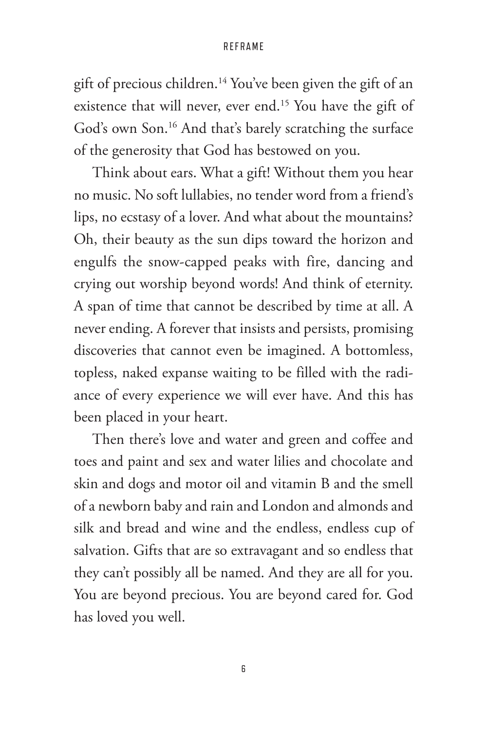gift of precious children.14 You've been given the gift of an existence that will never, ever end.<sup>15</sup> You have the gift of God's own Son.<sup>16</sup> And that's barely scratching the surface of the generosity that God has bestowed on you.

Think about ears. What a gift! Without them you hear no music. No soft lullabies, no tender word from a friend's lips, no ecstasy of a lover. And what about the mountains? Oh, their beauty as the sun dips toward the horizon and engulfs the snow-capped peaks with fire, dancing and crying out worship beyond words! And think of eternity. A span of time that cannot be described by time at all. A never ending. A forever that insists and persists, promising discoveries that cannot even be imagined. A bottomless, topless, naked expanse waiting to be filled with the radiance of every experience we will ever have. And this has been placed in your heart.

Then there's love and water and green and coffee and toes and paint and sex and water lilies and chocolate and skin and dogs and motor oil and vitamin B and the smell of a newborn baby and rain and London and almonds and silk and bread and wine and the endless, endless cup of salvation. Gifts that are so extravagant and so endless that they can't possibly all be named. And they are all for you. You are beyond precious. You are beyond cared for. God has loved you well.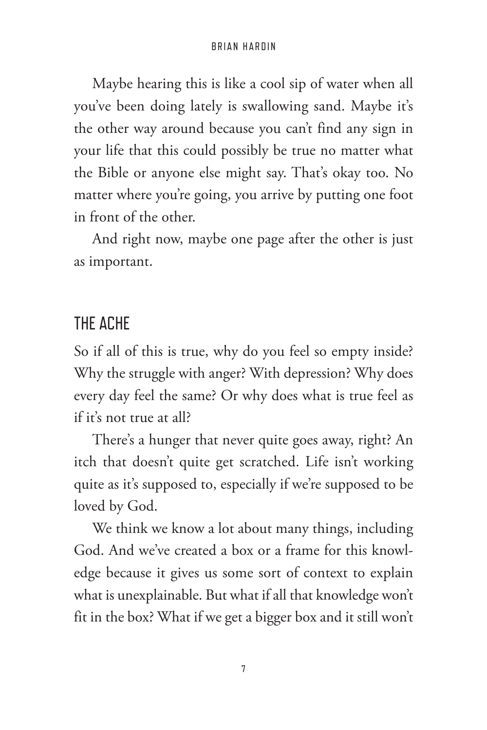Maybe hearing this is like a cool sip of water when all you've been doing lately is swallowing sand. Maybe it's the other way around because you can't find any sign in your life that this could possibly be true no matter what the Bible or anyone else might say. That's okay too. No matter where you're going, you arrive by putting one foot in front of the other.

And right now, maybe one page after the other is just as important.

### THE ACHE

So if all of this is true, why do you feel so empty inside? Why the struggle with anger? With depression? Why does every day feel the same? Or why does what is true feel as if it's not true at all?

There's a hunger that never quite goes away, right? An itch that doesn't quite get scratched. Life isn't working quite as it's supposed to, especially if we're supposed to be loved by God.

We think we know a lot about many things, including God. And we've created a box or a frame for this knowledge because it gives us some sort of context to explain what is unexplainable. But what if all that knowledge won't fit in the box? What if we get a bigger box and it still won't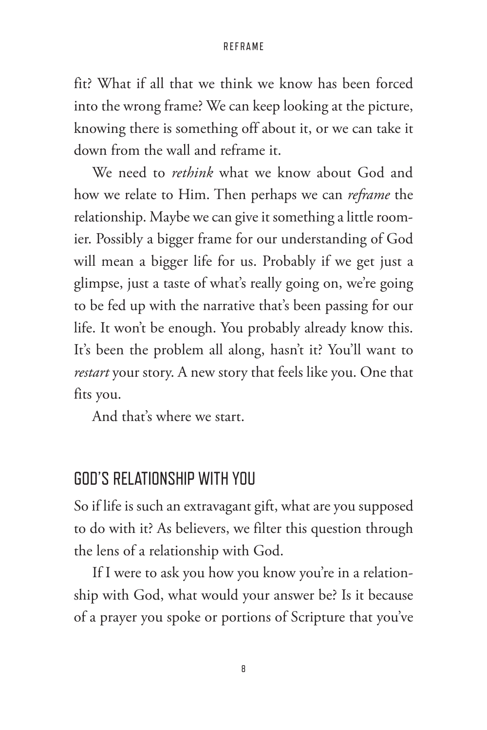fit? What if all that we think we know has been forced into the wrong frame? We can keep looking at the picture, knowing there is something off about it, or we can take it down from the wall and reframe it.

We need to *rethink* what we know about God and how we relate to Him. Then perhaps we can *reframe* the relationship. Maybe we can give it something a little roomier. Possibly a bigger frame for our understanding of God will mean a bigger life for us. Probably if we get just a glimpse, just a taste of what's really going on, we're going to be fed up with the narrative that's been passing for our life. It won't be enough. You probably already know this. It's been the problem all along, hasn't it? You'll want to *restart* your story. A new story that feels like you. One that fits you.

And that's where we start.

### GOD'S RELATIONSHIP WITH YOU

So if life is such an extravagant gift, what are you supposed to do with it? As believers, we filter this question through the lens of a relationship with God.

If I were to ask you how you know you're in a relationship with God, what would your answer be? Is it because of a prayer you spoke or portions of Scripture that you've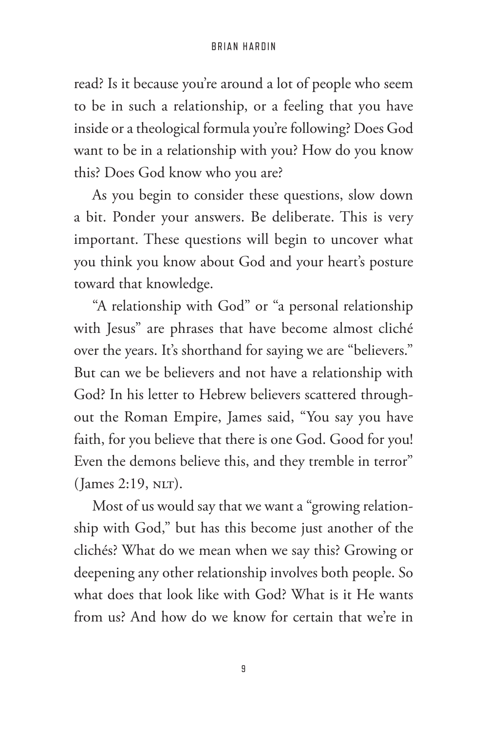read? Is it because you're around a lot of people who seem to be in such a relationship, or a feeling that you have inside or a theological formula you're following? Does God want to be in a relationship with you? How do you know this? Does God know who you are?

As you begin to consider these questions, slow down a bit. Ponder your answers. Be deliberate. This is very important. These questions will begin to uncover what you think you know about God and your heart's posture toward that knowledge.

"A relationship with God" or "a personal relationship with Jesus" are phrases that have become almost cliché over the years. It's shorthand for saying we are "believers." But can we be believers and not have a relationship with God? In his letter to Hebrew believers scattered throughout the Roman Empire, James said, "You say you have faith, for you believe that there is one God. Good for you! Even the demons believe this, and they tremble in terror"  $($  James 2:19, NLT $).$ 

Most of us would say that we want a "growing relationship with God," but has this become just another of the clichés? What do we mean when we say this? Growing or deepening any other relationship involves both people. So what does that look like with God? What is it He wants from us? And how do we know for certain that we're in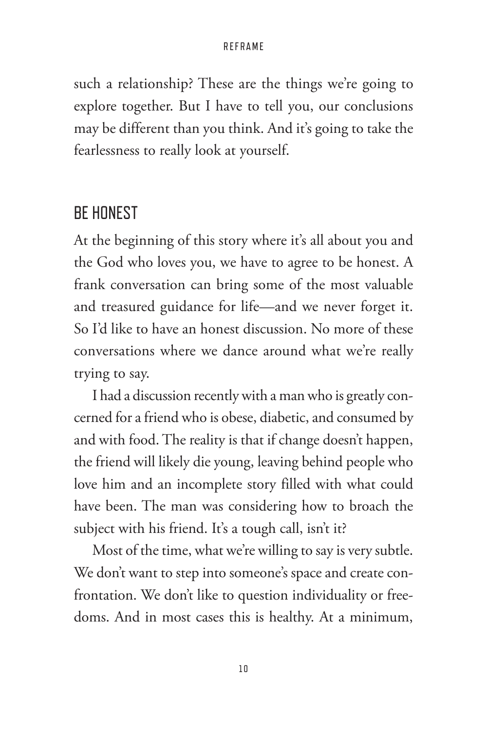such a relationship? These are the things we're going to explore together. But I have to tell you, our conclusions may be different than you think. And it's going to take the fearlessness to really look at yourself.

### BE HONEST

At the beginning of this story where it's all about you and the God who loves you, we have to agree to be honest. A frank conversation can bring some of the most valuable and treasured guidance for life—and we never forget it. So I'd like to have an honest discussion. No more of these conversations where we dance around what we're really trying to say.

I had a discussion recently with a man who is greatly concerned for a friend who is obese, diabetic, and consumed by and with food. The reality is that if change doesn't happen, the friend will likely die young, leaving behind people who love him and an incomplete story filled with what could have been. The man was considering how to broach the subject with his friend. It's a tough call, isn't it?

Most of the time, what we're willing to say is very subtle. We don't want to step into someone's space and create confrontation. We don't like to question individuality or freedoms. And in most cases this is healthy. At a minimum,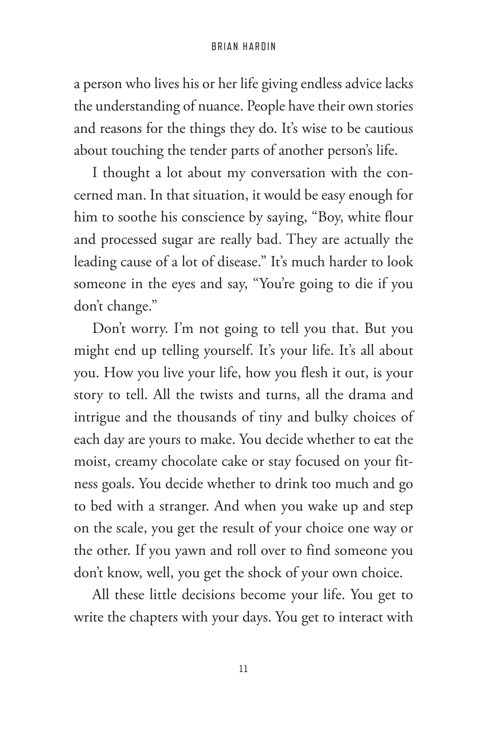a person who lives his or her life giving endless advice lacks the understanding of nuance. People have their own stories and reasons for the things they do. It's wise to be cautious about touching the tender parts of another person's life.

I thought a lot about my conversation with the concerned man. In that situation, it would be easy enough for him to soothe his conscience by saying, "Boy, white flour and processed sugar are really bad. They are actually the leading cause of a lot of disease." It's much harder to look someone in the eyes and say, "You're going to die if you don't change."

Don't worry. I'm not going to tell you that. But you might end up telling yourself. It's your life. It's all about you. How you live your life, how you flesh it out, is your story to tell. All the twists and turns, all the drama and intrigue and the thousands of tiny and bulky choices of each day are yours to make. You decide whether to eat the moist, creamy chocolate cake or stay focused on your fitness goals. You decide whether to drink too much and go to bed with a stranger. And when you wake up and step on the scale, you get the result of your choice one way or the other. If you yawn and roll over to find someone you don't know, well, you get the shock of your own choice.

All these little decisions become your life. You get to write the chapters with your days. You get to interact with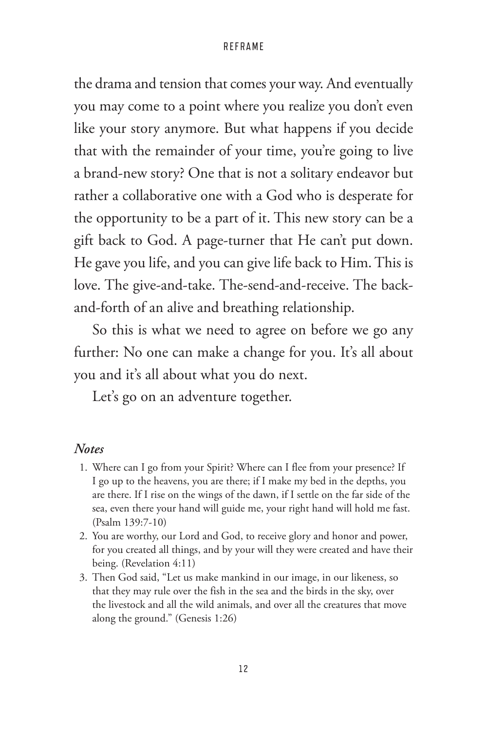the drama and tension that comes your way. And eventually you may come to a point where you realize you don't even like your story anymore. But what happens if you decide that with the remainder of your time, you're going to live a brand-new story? One that is not a solitary endeavor but rather a collaborative one with a God who is desperate for the opportunity to be a part of it. This new story can be a gift back to God. A page-turner that He can't put down. He gave you life, and you can give life back to Him. This is love. The give-and-take. The-send-and-receive. The backand-forth of an alive and breathing relationship.

So this is what we need to agree on before we go any further: No one can make a change for you. It's all about you and it's all about what you do next.

Let's go on an adventure together.

### *Notes*

- 1. Where can I go from your Spirit? Where can I flee from your presence? If I go up to the heavens, you are there; if I make my bed in the depths, you are there. If I rise on the wings of the dawn, if I settle on the far side of the sea, even there your hand will guide me, your right hand will hold me fast. (Psalm 139:7-10)
- 2. You are worthy, our Lord and God, to receive glory and honor and power, for you created all things, and by your will they were created and have their being. (Revelation 4:11)
- 3. Then God said, "Let us make mankind in our image, in our likeness, so that they may rule over the fish in the sea and the birds in the sky, over the livestock and all the wild animals, and over all the creatures that move along the ground." (Genesis 1:26)